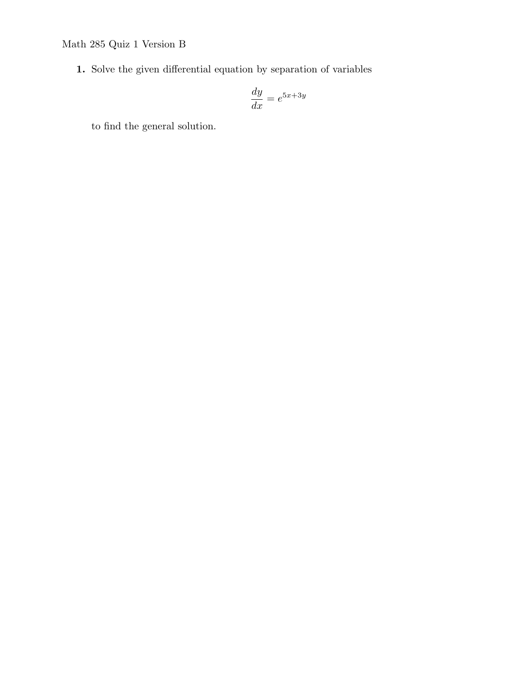**1.** Solve the given differential equation by separation of variables

$$
\frac{dy}{dx} = e^{5x+3y}
$$

to find the general solution.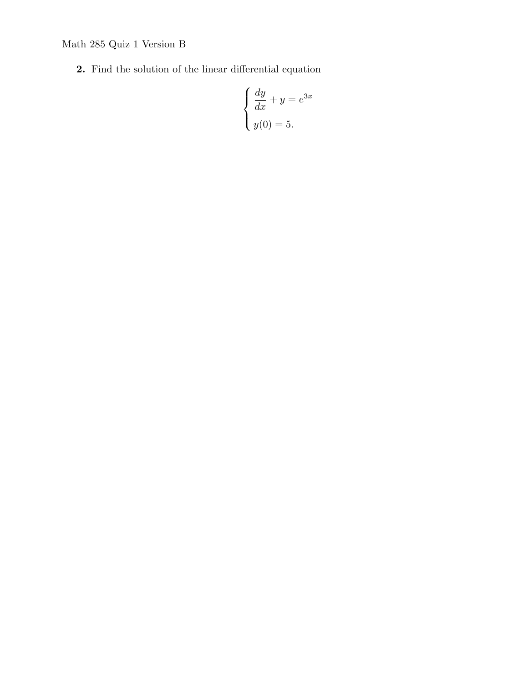**2.** Find the solution of the linear differential equation

$$
\begin{cases} \frac{dy}{dx} + y = e^{3x} \\ y(0) = 5. \end{cases}
$$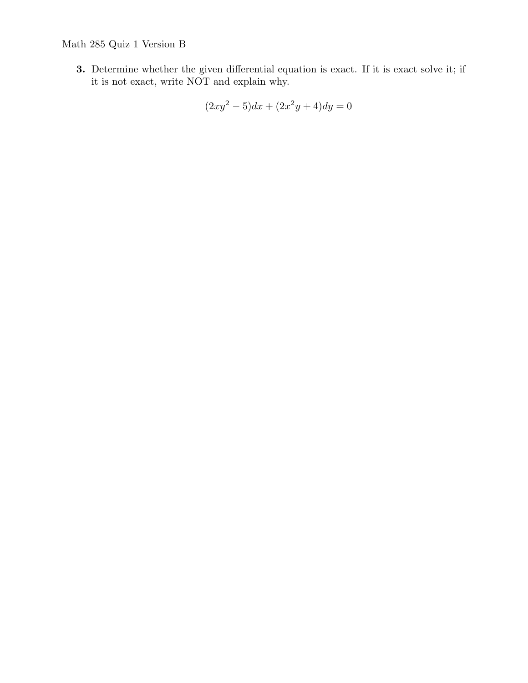**3.** Determine whether the given differential equation is exact. If it is exact solve it; if it is not exact, write NOT and explain why.

$$
(2xy^2 - 5)dx + (2x^2y + 4)dy = 0
$$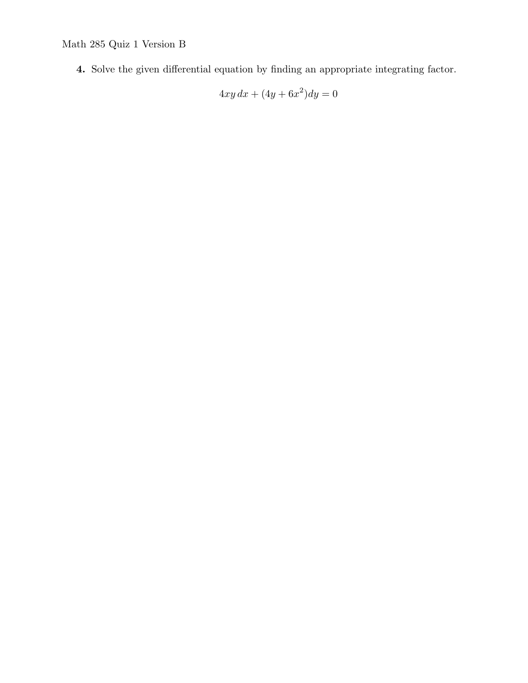**4.** Solve the given differential equation by finding an appropriate integrating factor.

$$
4xy\,dx + (4y + 6x^2)dy = 0
$$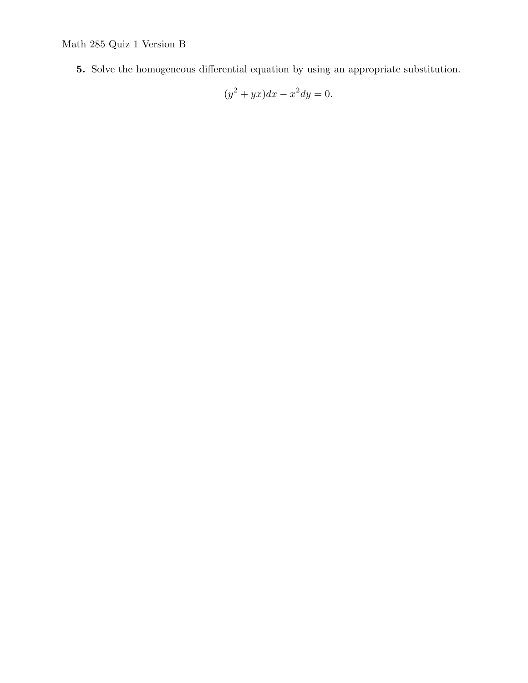**5.** Solve the homogeneous differential equation by using an appropriate substitution.

$$
(y^2 + yx)dx - x^2 dy = 0.
$$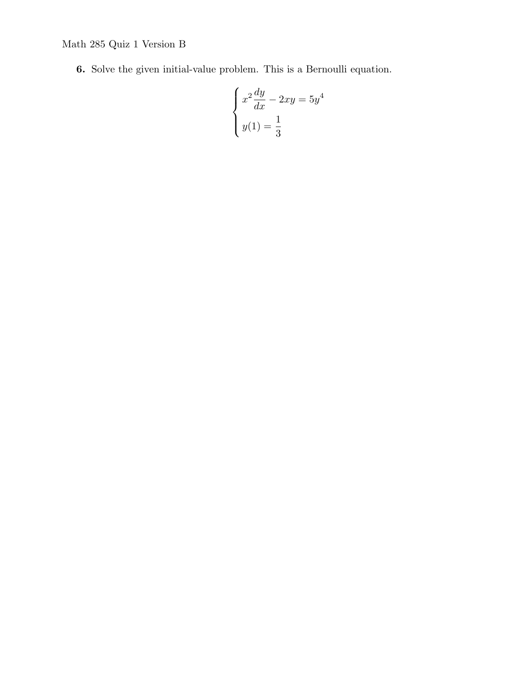**6.** Solve the given initial-value problem. This is a Bernoulli equation.

$$
\begin{cases}\nx^2\frac{dy}{dx} - 2xy = 5y^4 \\
y(1) = \frac{1}{3}\n\end{cases}
$$